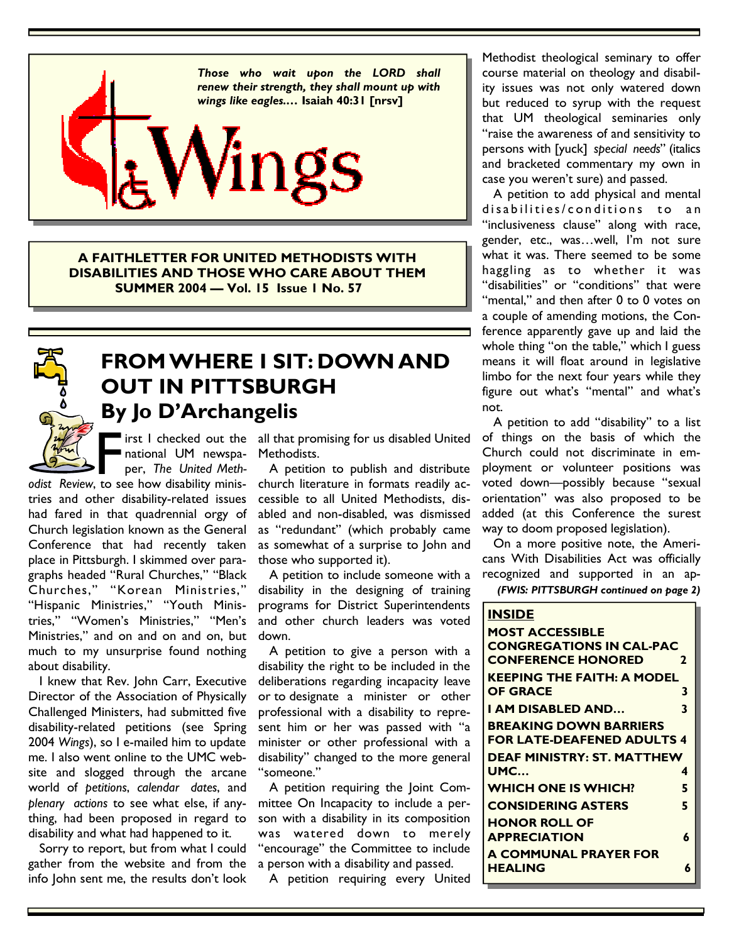

**A FAITHLETTER FOR UNITED METHODISTS WITH DISABILITIES AND THOSE WHO CARE ABOUT THEM SUMMER 2004 — Vol. 15 Issue 1 No. 57** 



# **FROM WHERE I SIT: DOWN AND OUT IN PITTSBURGH By Jo D'Archangelis**

national UM newspaper, *The United Meth-*

*odist Review*, to see how disability ministries and other disability-related issues had fared in that quadrennial orgy of Church legislation known as the General Conference that had recently taken place in Pittsburgh. I skimmed over paragraphs headed "Rural Churches," "Black Churches," "Korean Ministries," "Hispanic Ministries," "Youth Ministries," "Women's Ministries," "Men's Ministries," and on and on and on, but much to my unsurprise found nothing about disability.

 I knew that Rev. John Carr, Executive Director of the Association of Physically Challenged Ministers, had submitted five disability-related petitions (see Spring 2004 *Wings*), so I e-mailed him to update me. I also went online to the UMC website and slogged through the arcane world of *petitions*, *calendar dates*, and *plenary actions* to see what else, if anything, had been proposed in regard to disability and what had happened to it.

 Sorry to report, but from what I could gather from the website and from the info John sent me, the results don't look

First I checked out the all that promising for us disabled United<br>
national UM newspa- Methodists.<br>
per, The United Meth- A petition to publish and distribute<br>
to see how disability minis- church literature in formats read Methodists.

 A petition to publish and distribute church literature in formats readily accessible to all United Methodists, disabled and non-disabled, was dismissed as "redundant" (which probably came as somewhat of a surprise to John and those who supported it).

 A petition to include someone with a disability in the designing of training programs for District Superintendents and other church leaders was voted down.

 A petition to give a person with a disability the right to be included in the deliberations regarding incapacity leave or to designate a minister or other professional with a disability to represent him or her was passed with "a minister or other professional with a disability" changed to the more general "someone."

 A petition requiring the Joint Committee On Incapacity to include a person with a disability in its composition was watered down to merely "encourage" the Committee to include a person with a disability and passed.

A petition requiring every United

Methodist theological seminary to offer course material on theology and disability issues was not only watered down but reduced to syrup with the request that UM theological seminaries only "raise the awareness of and sensitivity to persons with [yuck] *special needs*" (italics and bracketed commentary my own in case you weren't sure) and passed.

 A petition to add physical and mental disabilities/conditions to an "inclusiveness clause" along with race, gender, etc., was…well, I'm not sure what it was. There seemed to be some haggling as to whether it was "disabilities" or "conditions" that were "mental," and then after 0 to 0 votes on a couple of amending motions, the Conference apparently gave up and laid the whole thing "on the table," which I guess means it will float around in legislative limbo for the next four years while they figure out what's "mental" and what's not.

 A petition to add "disability" to a list of things on the basis of which the Church could not discriminate in employment or volunteer positions was voted down—possibly because "sexual orientation" was also proposed to be added (at this Conference the surest way to doom proposed legislation).

 On a more positive note, the Americans With Disabilities Act was officially recognized and supported in an ap-

*(FWIS: PITTSBURGH continued on page 2)* 

| <b>INSIDE</b>                     |   |
|-----------------------------------|---|
| <b>MOST ACCESSIBLE</b>            |   |
| <b>CONGREGATIONS IN CAL-PAC</b>   |   |
| <b>CONFERENCE HONORED</b>         | 2 |
| <b>KEEPING THE FAITH: A MODEL</b> |   |
| <b>OF GRACE</b>                   | 3 |
| I AM DISABLED AND                 | 3 |
| <b>BREAKING DOWN BARRIERS</b>     |   |
| <b>FOR LATE-DEAFENED ADULTS 4</b> |   |
| <b>DEAF MINISTRY: ST. MATTHEW</b> |   |
| <b>UMC</b>                        | 4 |
| <b>WHICH ONE IS WHICH?</b>        | 5 |
| <b>CONSIDERING ASTERS</b>         | 5 |
| <b>HONOR ROLL OF</b>              |   |
| <b>APPRECIATION</b>               | 6 |
| A COMMUNAL PRAYER FOR             |   |
| <b>HEALING</b>                    | 6 |
|                                   |   |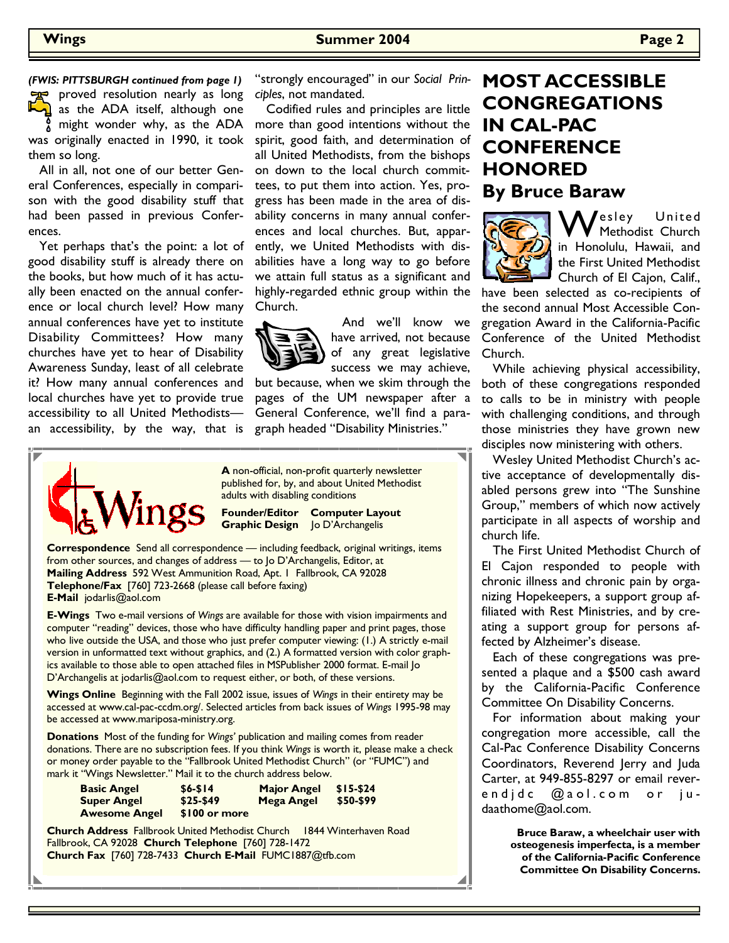*(FWIS: PITTSBURGH continued from page 1)* 

proved resolution nearly as long as the ADA itself, although one might wonder why, as the ADA was originally enacted in 1990, it took them so long.

 All in all, not one of our better General Conferences, especially in comparison with the good disability stuff that had been passed in previous Conferences.

 Yet perhaps that's the point: a lot of good disability stuff is already there on the books, but how much of it has actually been enacted on the annual conference or local church level? How many annual conferences have yet to institute Disability Committees? How many churches have yet to hear of Disability Awareness Sunday, least of all celebrate it? How many annual conferences and local churches have yet to provide true accessibility to all United Methodists an accessibility, by the way, that is

"strongly encouraged" in our *Social Principles*, not mandated.

 Codified rules and principles are little more than good intentions without the spirit, good faith, and determination of all United Methodists, from the bishops on down to the local church committees, to put them into action. Yes, progress has been made in the area of disability concerns in many annual conferences and local churches. But, apparently, we United Methodists with disabilities have a long way to go before we attain full status as a significant and highly-regarded ethnic group within the Church.



 And we'll know we have arrived, not because of any great legislative success we may achieve,

but because, when we skim through the pages of the UM newspaper after a General Conference, we'll find a paragraph headed "Disability Ministries."



**A** non-official, non-profit quarterly newsletter published for, by, and about United Methodist adults with disabling conditions

**Founder/Editor Computer Layout Graphic Design** Jo D'Archangelis

**Correspondence** Send all correspondence — including feedback, original writings, items from other sources, and changes of address — to Jo D'Archangelis, Editor, at **Mailing Address** 592 West Ammunition Road, Apt. 1 Fallbrook, CA 92028 **Telephone/Fax** [760] 723-2668 (please call before faxing) **E-Mail** jodarlis@aol.com

**E-Wings** Two e-mail versions of *Wings* are available for those with vision impairments and computer "reading" devices, those who have difficulty handling paper and print pages, those who live outside the USA, and those who just prefer computer viewing: (1.) A strictly e-mail version in unformatted text without graphics, and (2.) A formatted version with color graphics available to those able to open attached files in MSPublisher 2000 format. E-mail Jo D'Archangelis at jodarlis@aol.com to request either, or both, of these versions.

**Wings Online** Beginning with the Fall 2002 issue, issues of *Wings* in their entirety may be accessed at www.cal-pac-ccdm.org/. Selected articles from back issues of *Wings* 1995-98 may be accessed at www.mariposa-ministry.org.

**Donations** Most of the funding for *Wings'* publication and mailing comes from reader donations. There are no subscription fees. If you think *Wings* is worth it, please make a check or money order payable to the "Fallbrook United Methodist Church" (or "FUMC") and mark it "Wings Newsletter." Mail it to the church address below.

| <b>Basic Angel</b>   | $$6 - $14$    | <b>Major Angel</b> | $$15-$24$ |
|----------------------|---------------|--------------------|-----------|
| <b>Super Angel</b>   | $$25-$49$     | <b>Mega Angel</b>  | \$50-\$99 |
| <b>Awesome Angel</b> | \$100 or more |                    |           |

**Church Address** Fallbrook United Methodist Church 1844 Winterhaven Road Fallbrook, CA 92028 **Church Telephone** [760] 728-1472 **Church Fax** [760] 728-7433 **Church E-Mail** FUMC1887@tfb.com

### **MOST ACCESSIBLE CONGREGATIONS IN CAL-PAC CONFERENCE HONORED By Bruce Baraw**



Wesley United<br>in Honelulu Hougii and in Honolulu, Hawaii, and the First United Methodist Church of El Cajon, Calif.,

have been selected as co-recipients of the second annual Most Accessible Congregation Award in the California-Pacific Conference of the United Methodist Church.

 While achieving physical accessibility, both of these congregations responded to calls to be in ministry with people with challenging conditions, and through those ministries they have grown new disciples now ministering with others.

 Wesley United Methodist Church's active acceptance of developmentally disabled persons grew into "The Sunshine Group," members of which now actively participate in all aspects of worship and church life.

 The First United Methodist Church of El Cajon responded to people with chronic illness and chronic pain by organizing Hopekeepers, a support group affiliated with Rest Ministries, and by creating a support group for persons affected by Alzheimer's disease.

 Each of these congregations was presented a plaque and a \$500 cash award by the California-Pacific Conference Committee On Disability Concerns.

 For information about making your congregation more accessible, call the Cal-Pac Conference Disability Concerns Coordinators, Reverend Jerry and Juda Carter, at 949-855-8297 or email reverendidc @aol.com or judaathome@aol.com.

> **Bruce Baraw, a wheelchair user with osteogenesis imperfecta, is a member of the California-Pacific Conference Committee On Disability Concerns.**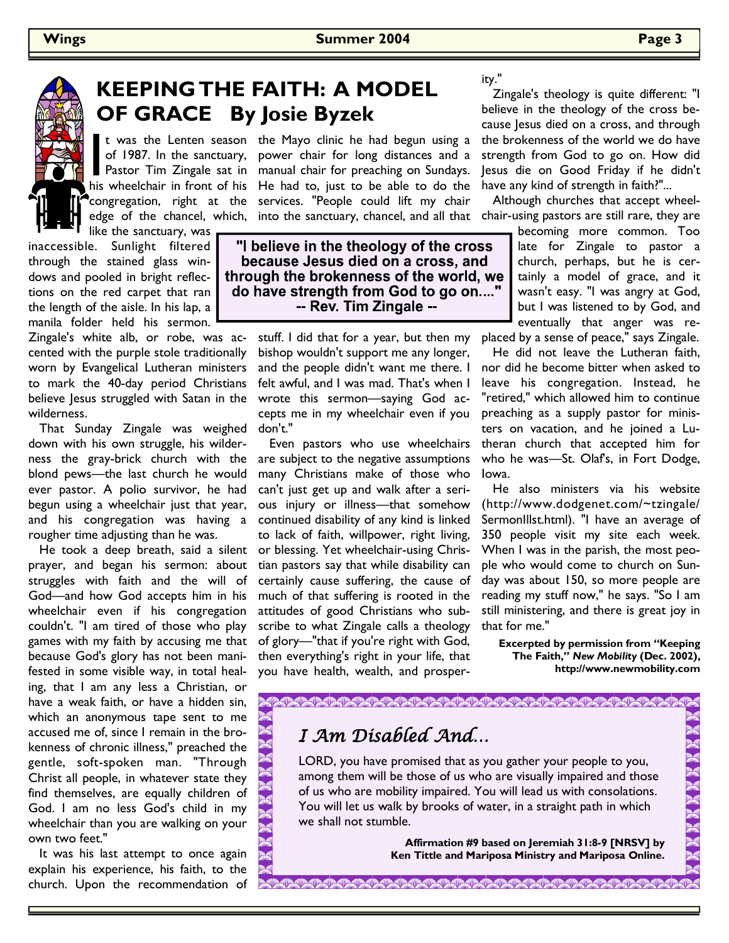

## **KEEPING THE FAITH: A MODEL OF GRACE By Josie Byzek**

t was the Lenten season<br>of 1987. In the sanctuary,<br>Pastor Tim Zingale sat in<br>his wheelchair in front of his like the sanctuary, was

inaccessible. Sunlight filtered through the stained glass windows and pooled in bright reflections on the red carpet that ran the length of the aisle. In his lap, a manila folder held his sermon.

Zingale's white alb, or robe, was accented with the purple stole traditionally worn by Evangelical Lutheran ministers to mark the 40-day period Christians believe Jesus struggled with Satan in the wilderness.

 That Sunday Zingale was weighed down with his own struggle, his wilderness the gray-brick church with the blond pews—the last church he would ever pastor. A polio survivor, he had begun using a wheelchair just that year, and his congregation was having a rougher time adjusting than he was.

 He took a deep breath, said a silent prayer, and began his sermon: about struggles with faith and the will of God—and how God accepts him in his wheelchair even if his congregation couldn't. "I am tired of those who play games with my faith by accusing me that because God's glory has not been manifested in some visible way, in total healing, that I am any less a Christian, or have a weak faith, or have a hidden sin, which an anonymous tape sent to me accused me of, since I remain in the brokenness of chronic illness," preached the gentle, soft-spoken man. "Through Christ all people, in whatever state they find themselves, are equally children of God. I am no less God's child in my wheelchair than you are walking on your own two feet."

 It was his last attempt to once again explain his experience, his faith, to the church. Upon the recommendation of

of 1987. In the sanctuary, power chair for long distances and a Pastor Tim Zingale sat in manual chair for preaching on Sundays. his wheelchair in front of his He had to, just to be able to do the congregation, right at the services. "People could lift my chair t was the Lenten season the Mayo clinic he had begun using a

> "I believe in the theology of the cross because Jesus died on a cross, and through the brokenness of the world, we do have strength from God to go on...." -- Rev. Tim Zingale --

> > stuff. I did that for a year, but then my bishop wouldn't support me any longer, and the people didn't want me there. I felt awful, and I was mad. That's when I wrote this sermon—saying God accepts me in my wheelchair even if you don't."

 Even pastors who use wheelchairs are subject to the negative assumptions many Christians make of those who can't just get up and walk after a serious injury or illness—that somehow continued disability of any kind is linked to lack of faith, willpower, right living, or blessing. Yet wheelchair-using Christian pastors say that while disability can certainly cause suffering, the cause of much of that suffering is rooted in the attitudes of good Christians who subscribe to what Zingale calls a theology of glory—"that if you're right with God, then everything's right in your life, that you have health, wealth, and prosperity."

 Zingale's theology is quite different: "I believe in the theology of the cross because Jesus died on a cross, and through the brokenness of the world we do have strength from God to go on. How did Jesus die on Good Friday if he didn't have any kind of strength in faith?"...

edge of the chancel, which, into the sanctuary, chancel, and all that chair-using pastors are still rare, they are Although churches that accept wheel-

> becoming more common. Too late for Zingale to pastor a church, perhaps, but he is certainly a model of grace, and it wasn't easy. "I was angry at God, but I was listened to by God, and eventually that anger was replaced by a sense of peace," says Zingale.

> He did not leave the Lutheran faith, nor did he become bitter when asked to leave his congregation. Instead, he "retired," which allowed him to continue preaching as a supply pastor for ministers on vacation, and he joined a Lutheran church that accepted him for

who he was—St. Olaf's, in Fort Dodge,

 He also ministers via his website (http://www.dodgenet.com/~tzingale/ SermonIllst.html). "I have an average of 350 people visit my site each week. When I was in the parish, the most people who would come to church on Sunday was about 150, so more people are reading my stuff now," he says. "So I am still ministering, and there is great joy in that for me."

**Excerpted by permission from "Keeping The Faith,"** *New Mobility* **(Dec. 2002), http://www.newmobility.com**

### I Am Disabled And…

LORD, you have promised that as you gather your people to you, among them will be those of us who are visually impaired and those of us who are mobility impaired. You will lead us with consolations. You will let us walk by brooks of water, in a straight path in which we shall not stumble.

**CARAMARANA MARAMARANA MARAMARANA MARA** 

Iowa.

**Affirmation #9 based on Jeremiah 31:8-9 [NRSV] by Ken Tittle and Mariposa Ministry and Mariposa Online.**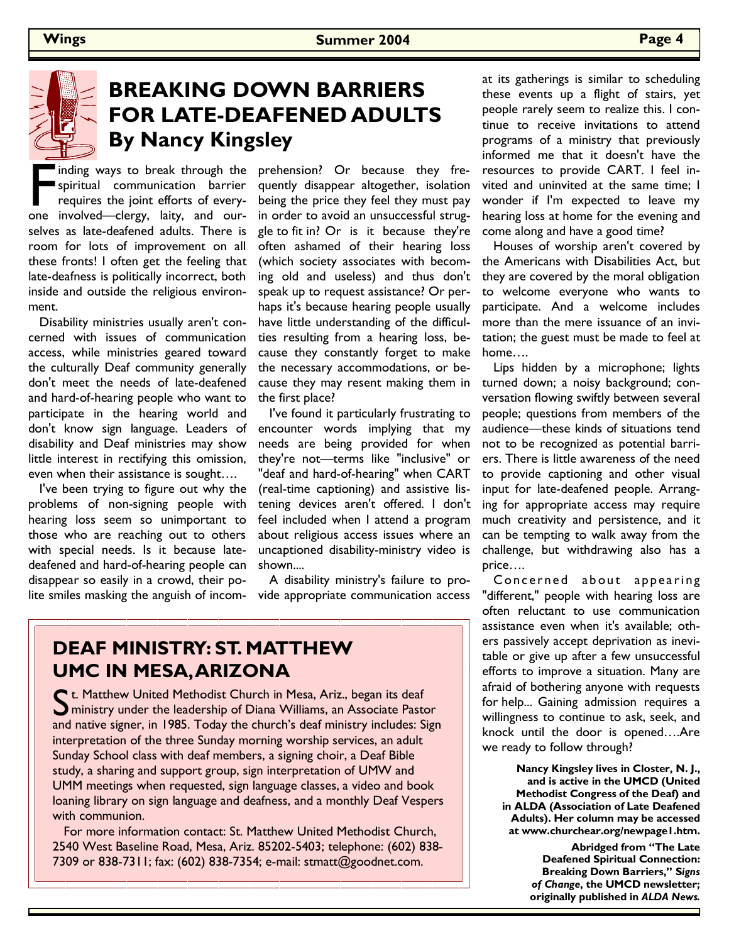

# **BREAKING DOWN BARRIERS FOR LATE-DEAFENED ADULTS By Nancy Kingsley**

inding ways to break through the<br>spiritual communication barrier<br>requires the joint efforts of every-<br>one involved—clergy, laity, and ourspiritual communication barrier requires the joint efforts of everyselves as late-deafened adults. There is room for lots of improvement on all these fronts! I often get the feeling that late-deafness is politically incorrect, both inside and outside the religious environment.

 Disability ministries usually aren't concerned with issues of communication access, while ministries geared toward the culturally Deaf community generally don't meet the needs of late-deafened and hard-of-hearing people who want to participate in the hearing world and don't know sign language. Leaders of disability and Deaf ministries may show little interest in rectifying this omission, even when their assistance is sought….

 I've been trying to figure out why the problems of non-signing people with hearing loss seem so unimportant to those who are reaching out to others with special needs. Is it because latedeafened and hard-of-hearing people can disappear so easily in a crowd, their polite smiles masking the anguish of incom- vide appropriate communication access

inding ways to break through the prehension? Or because they frequently disappear altogether, isolation being the price they feel they must pay in order to avoid an unsuccessful struggle to fit in? Or is it because they're often ashamed of their hearing loss (which society associates with becoming old and useless) and thus don't speak up to request assistance? Or perhaps it's because hearing people usually have little understanding of the difficulties resulting from a hearing loss, because they constantly forget to make the necessary accommodations, or because they may resent making them in the first place?

> I've found it particularly frustrating to encounter words implying that my needs are being provided for when they're not—terms like "inclusive" or "deaf and hard-of-hearing" when CART (real-time captioning) and assistive listening devices aren't offered. I don't feel included when I attend a program about religious access issues where an uncaptioned disability-ministry video is shown....

A disability ministry's failure to pro-

### **DEAF MINISTRY: ST. MATTHEW UMC IN MESA, ARIZONA**

C t. Matthew United Methodist Church in Mesa, Ariz., began its deaf ministry under the leadership of Diana Williams, an Associate Pastor and native signer, in 1985. Today the church's deaf ministry includes: Sign interpretation of the three Sunday morning worship services, an adult Sunday School class with deaf members, a signing choir, a Deaf Bible study, a sharing and support group, sign interpretation of UMW and UMM meetings when requested, sign language classes, a video and book loaning library on sign language and deafness, and a monthly Deaf Vespers with communion.

 For more information contact: St. Matthew United Methodist Church, 2540 West Baseline Road, Mesa, Ariz. 85202-5403; telephone: (602) 838- 7309 or 838-7311; fax: (602) 838-7354; e-mail: stmatt@goodnet.com.

at its gatherings is similar to scheduling these events up a flight of stairs, yet people rarely seem to realize this. I continue to receive invitations to attend programs of a ministry that previously informed me that it doesn't have the resources to provide CART. I feel invited and uninvited at the same time; I wonder if I'm expected to leave my hearing loss at home for the evening and come along and have a good time?

 Houses of worship aren't covered by the Americans with Disabilities Act, but they are covered by the moral obligation to welcome everyone who wants to participate. And a welcome includes more than the mere issuance of an invitation; the guest must be made to feel at home….

 Lips hidden by a microphone; lights turned down; a noisy background; conversation flowing swiftly between several people; questions from members of the audience—these kinds of situations tend not to be recognized as potential barriers. There is little awareness of the need to provide captioning and other visual input for late-deafened people. Arranging for appropriate access may require much creativity and persistence, and it can be tempting to walk away from the challenge, but withdrawing also has a price….

Concerned about appearing "different," people with hearing loss are often reluctant to use communication assistance even when it's available; others passively accept deprivation as inevitable or give up after a few unsuccessful efforts to improve a situation. Many are afraid of bothering anyone with requests for help... Gaining admission requires a willingness to continue to ask, seek, and knock until the door is opened….Are we ready to follow through?

**Nancy Kingsley lives in Closter, N. J., and is active in the UMCD (United Methodist Congress of the Deaf) and in ALDA (Association of Late Deafened Adults). Her column may be accessed at www.churchear.org/newpage1.htm.** 

> **Abridged from "The Late Deafened Spiritual Connection: Breaking Down Barriers," S***igns of Change***, the UMCD newsletter; originally published in** *ALDA News.*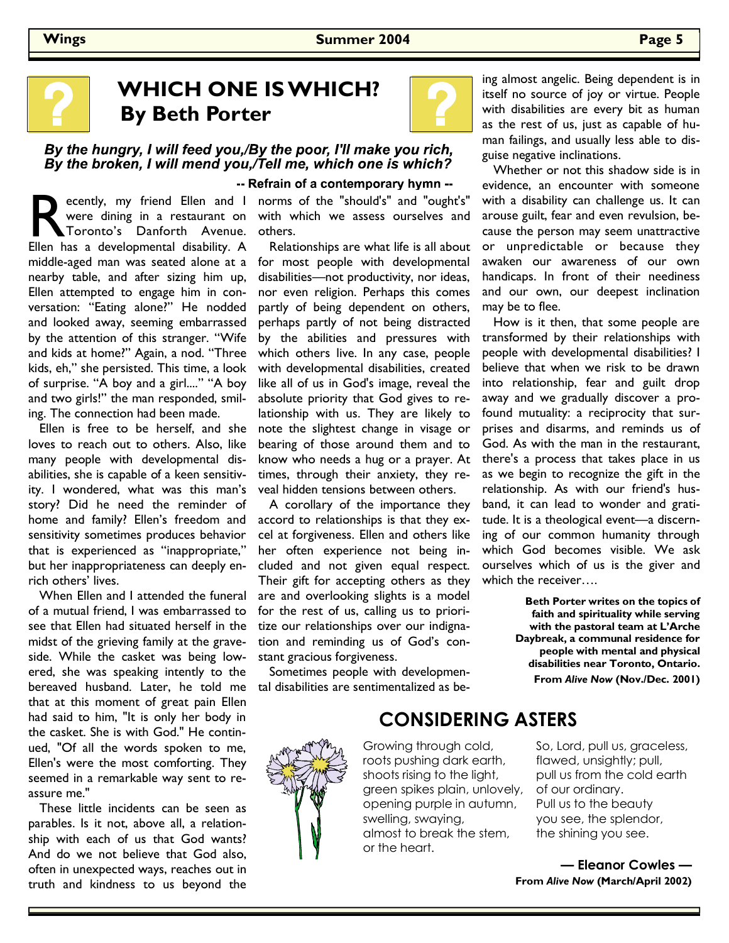

# **WHICH ONE IS WHICH? By Beth Porter**

#### By the hungry, I will feed you,/By the poor, I'll make you rich, By the broken, I will mend you,/Tell me, which one is which?

ecently, my friend Ellen and I<br>
were dining in a restaurant on<br>
Toronto's Danforth Avenue.<br>
Ellen has a developmental disability. A were dining in a restaurant on Toronto's Danforth Avenue. middle-aged man was seated alone at a nearby table, and after sizing him up, Ellen attempted to engage him in conversation: "Eating alone?" He nodded and looked away, seeming embarrassed by the attention of this stranger. "Wife and kids at home?" Again, a nod. "Three kids, eh," she persisted. This time, a look of surprise. "A boy and a girl...." "A boy and two girls!" the man responded, smiling. The connection had been made.

 Ellen is free to be herself, and she loves to reach out to others. Also, like many people with developmental disabilities, she is capable of a keen sensitivity. I wondered, what was this man's story? Did he need the reminder of home and family? Ellen's freedom and sensitivity sometimes produces behavior that is experienced as "inappropriate," but her inappropriateness can deeply enrich others' lives.

 When Ellen and I attended the funeral of a mutual friend, I was embarrassed to see that Ellen had situated herself in the midst of the grieving family at the graveside. While the casket was being lowered, she was speaking intently to the bereaved husband. Later, he told me that at this moment of great pain Ellen had said to him, "It is only her body in the casket. She is with God." He continued, "Of all the words spoken to me, Ellen's were the most comforting. They seemed in a remarkable way sent to reassure me."

 These little incidents can be seen as parables. Is it not, above all, a relationship with each of us that God wants? And do we not believe that God also, often in unexpected ways, reaches out in truth and kindness to us beyond the

#### -- Refrain of a contemporary hymn --

ecently, my friend Ellen and I norms of the "should's" and "ought's" with which we assess ourselves and others.

> Relationships are what life is all about for most people with developmental disabilities—not productivity, nor ideas, nor even religion. Perhaps this comes partly of being dependent on others, perhaps partly of not being distracted by the abilities and pressures with which others live. In any case, people with developmental disabilities, created like all of us in God's image, reveal the absolute priority that God gives to relationship with us. They are likely to note the slightest change in visage or bearing of those around them and to know who needs a hug or a prayer. At times, through their anxiety, they reveal hidden tensions between others.

> A corollary of the importance they accord to relationships is that they excel at forgiveness. Ellen and others like her often experience not being included and not given equal respect. Their gift for accepting others as they are and overlooking slights is a model for the rest of us, calling us to prioritize our relationships over our indignation and reminding us of God's constant gracious forgiveness.

> Sometimes people with developmental disabilities are sentimentalized as be-

ing almost angelic. Being dependent is in itself no source of joy or virtue. People with disabilities are every bit as human as the rest of us, just as capable of human failings, and usually less able to disguise negative inclinations.

 Whether or not this shadow side is in evidence, an encounter with someone with a disability can challenge us. It can arouse guilt, fear and even revulsion, because the person may seem unattractive or unpredictable or because they awaken our awareness of our own handicaps. In front of their neediness and our own, our deepest inclination may be to flee.

 How is it then, that some people are transformed by their relationships with people with developmental disabilities? I believe that when we risk to be drawn into relationship, fear and guilt drop away and we gradually discover a profound mutuality: a reciprocity that surprises and disarms, and reminds us of God. As with the man in the restaurant, there's a process that takes place in us as we begin to recognize the gift in the relationship. As with our friend's husband, it can lead to wonder and gratitude. It is a theological event—a discerning of our common humanity through which God becomes visible. We ask ourselves which of us is the giver and which the receiver….

> **Beth Porter writes on the topics of faith and spirituality while serving with the pastoral team at L'Arche Daybreak, a communal residence for people with mental and physical disabilities near Toronto, Ontario. From** *Alive Now* **(Nov./Dec. 2001)**



### **CONSIDERING ASTERS**

Growing through cold, roots pushing dark earth, shoots rising to the light, green spikes plain, unlovely, opening purple in autumn, swelling, swaying, almost to break the stem, or the heart.

So, Lord, pull us, graceless, flawed, unsightly; pull, pull us from the cold earth of our ordinary. Pull us to the beauty you see, the splendor, the shining you see.

**— Eleanor Cowles — From** *Alive Now* **(March/April 2002)**